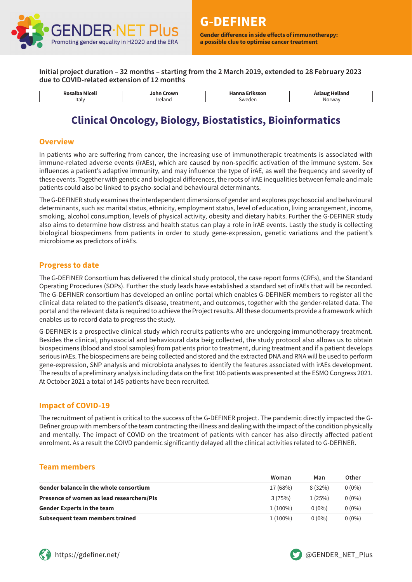

**a possible clue to optimise cancer treatment**

**Initial project duration – 32 months – starting from the 2 March 2019, extended to 28 February 2023 due to COVID-related extension of 12 months**

| Italy<br>sweden<br>Ireland |  | Rosalba Miceli | John Crown | <b>Hanna Eriksson</b> | Åslaug Helland<br>Norway |
|----------------------------|--|----------------|------------|-----------------------|--------------------------|
|----------------------------|--|----------------|------------|-----------------------|--------------------------|

# **Clinical Oncology, Biology, Biostatistics, Bioinformatics**

#### **Overview**

In patients who are suffering from cancer, the increasing use of immunotherapic treatments is associated with immune-related adverse events (irAEs), which are caused by non-specific activation of the immune system. Sex influences a patient's adaptive immunity, and may influence the type of irAE, as well the frequency and severity of these events. Together with genetic and biological differences, the roots of irAE inequalities between female and male patients could also be linked to psycho-social and behavioural determinants.

The G-DEFINER study examines the interdependent dimensions of gender and explores psychosocial and behavioural determinants, such as: marital status, ethnicity, employment status, level of education, living arrangement, income, smoking, alcohol consumption, levels of physical activity, obesity and dietary habits. Further the G-DEFINER study also aims to determine how distress and health status can play a role in irAE events. Lastly the study is collecting biological biospecimens from patients in order to study gene-expression, genetic variations and the patient's microbiome as predictors of irAEs.

### **Progress to date**

The G-DEFINER Consortium has delivered the clinical study protocol, the case report forms (CRFs), and the Standard Operating Procedures (SOPs). Further the study leads have established a standard set of irAEs that will be recorded. The G-DEFINER consortium has developed an online portal which enables G-DEFINER members to register all the clinical data related to the patient's disease, treatment, and outcomes, together with the gender-related data. The portal and the relevant data is required to achieve the Project results. All these documents provide a framework which enables us to record data to progress the study.

G-DEFINER is a prospective clinical study which recruits patients who are undergoing immunotherapy treatment. Besides the clinical, physosocial and behavioural data beig collected, the study protocol also allows us to obtain biospecimens (blood and stool samples) from patients prior to treatment, during treatment and if a patient develops serious irAEs. The biospecimens are being collected and stored and the extracted DNA and RNA will be used to perform gene-expression, SNP analysis and microbiota analyses to identify the features associated with irAEs development. The results of a preliminary analysis including data on the first 106 patients was presented at the ESMO Congress 2021. At October 2021 a total of 145 patients have been recruited.

### **Impact of COVID-19**

The recruitment of patient is critical to the success of the G-DEFINER project. The pandemic directly impacted the G-Definer group with members of the team contracting the illness and dealing with the impact of the condition physically and mentally. The impact of COVID on the treatment of patients with cancer has also directly affected patient enrolment. As a result the COIVD pandemic significantly delayed all the clinical activities related to G-DEFINER.

### **Team members**

|                                               | Woman      | Man      | Other    |
|-----------------------------------------------|------------|----------|----------|
| <b>Gender balance in the whole consortium</b> | 17 (68%)   | 8(32%)   | $0(0\%)$ |
| Presence of women as lead researchers/PIs     | 3(75%)     | 1(25%)   | $0(0\%)$ |
| <b>Gender Experts in the team</b>             | $1(100\%)$ | $0(0\%)$ | $0(0\%)$ |
| Subsequent team members trained               | $1(100\%)$ | $0(0\%)$ | $0(0\%)$ |